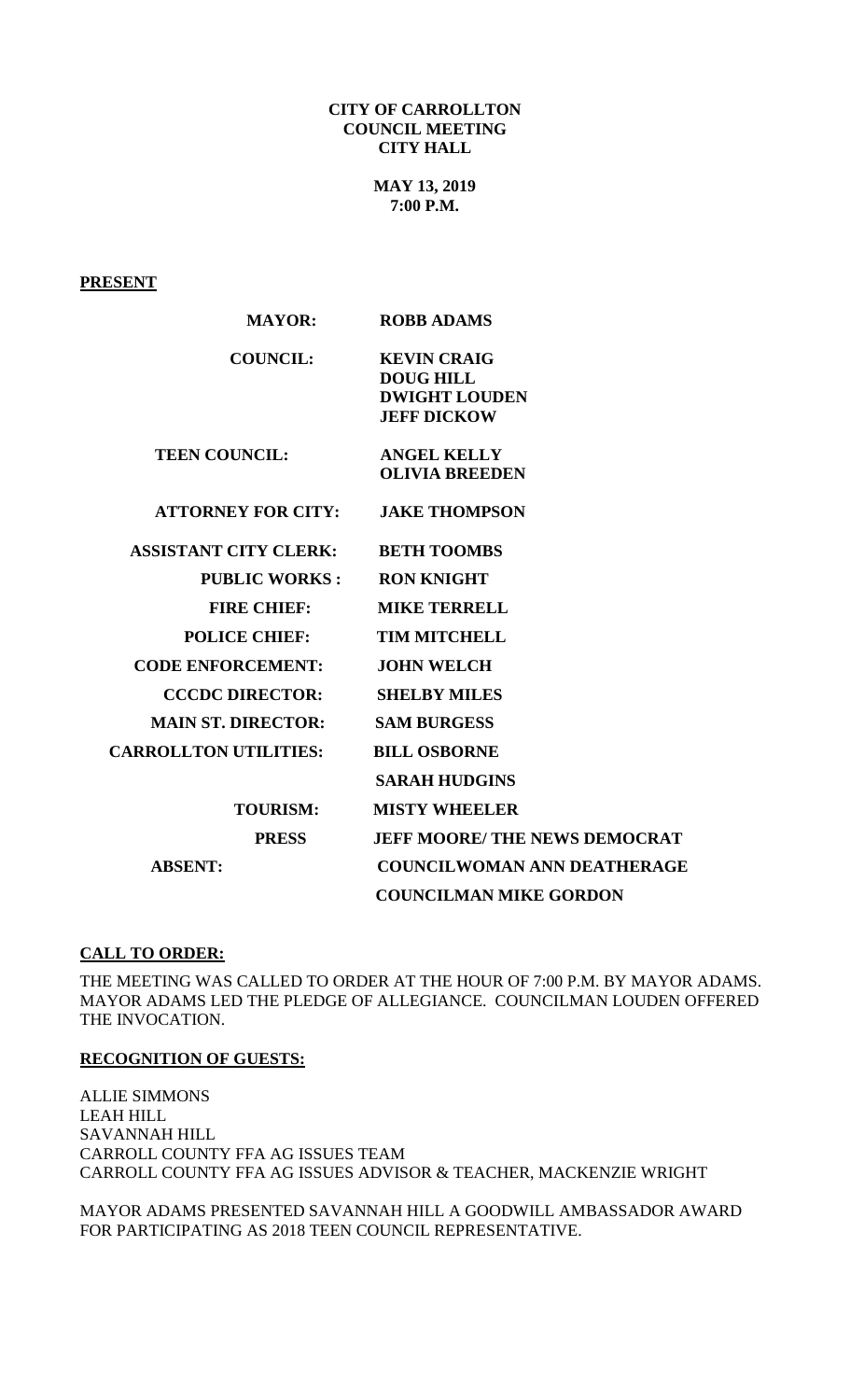#### **CITY OF CARROLLTON COUNCIL MEETING CITY HALL**

**MAY 13, 2019 7:00 P.M.**

## **PRESENT**

| <b>MAYOR:</b>                | <b>ROBB ADAMS</b>                    |
|------------------------------|--------------------------------------|
| <b>COUNCIL:</b>              | <b>KEVIN CRAIG</b>                   |
|                              | <b>DOUG HILL</b>                     |
|                              | <b>DWIGHT LOUDEN</b>                 |
|                              | <b>JEFF DICKOW</b>                   |
| <b>TEEN COUNCIL:</b>         | <b>ANGEL KELLY</b>                   |
|                              | <b>OLIVIA BREEDEN</b>                |
|                              |                                      |
| <b>ATTORNEY FOR CITY:</b>    | <b>JAKE THOMPSON</b>                 |
|                              |                                      |
| <b>ASSISTANT CITY CLERK:</b> | <b>BETH TOOMBS</b>                   |
| <b>PUBLIC WORKS:</b>         | <b>RON KNIGHT</b>                    |
| <b>FIRE CHIEF:</b>           | <b>MIKE TERRELL</b>                  |
| <b>POLICE CHIEF:</b>         | <b>TIM MITCHELL</b>                  |
| <b>CODE ENFORCEMENT:</b>     | <b>JOHN WELCH</b>                    |
| <b>CCCDC DIRECTOR:</b>       | <b>SHELBY MILES</b>                  |
| <b>MAIN ST. DIRECTOR:</b>    | <b>SAM BURGESS</b>                   |
| <b>CARROLLTON UTILITIES:</b> | <b>BILL OSBORNE</b>                  |
|                              | <b>SARAH HUDGINS</b>                 |
| <b>TOURISM:</b>              | <b>MISTY WHEELER</b>                 |
| <b>PRESS</b>                 | <b>JEFF MOORE/ THE NEWS DEMOCRAT</b> |
| <b>ABSENT:</b>               | <b>COUNCILWOMAN ANN DEATHERAGE</b>   |
|                              | <b>COUNCILMAN MIKE GORDON</b>        |
|                              |                                      |

# **CALL TO ORDER:**

THE MEETING WAS CALLED TO ORDER AT THE HOUR OF 7:00 P.M. BY MAYOR ADAMS. MAYOR ADAMS LED THE PLEDGE OF ALLEGIANCE. COUNCILMAN LOUDEN OFFERED THE INVOCATION.

### **RECOGNITION OF GUESTS:**

ALLIE SIMMONS LEAH HILL SAVANNAH HILL CARROLL COUNTY FFA AG ISSUES TEAM CARROLL COUNTY FFA AG ISSUES ADVISOR & TEACHER, MACKENZIE WRIGHT

MAYOR ADAMS PRESENTED SAVANNAH HILL A GOODWILL AMBASSADOR AWARD FOR PARTICIPATING AS 2018 TEEN COUNCIL REPRESENTATIVE.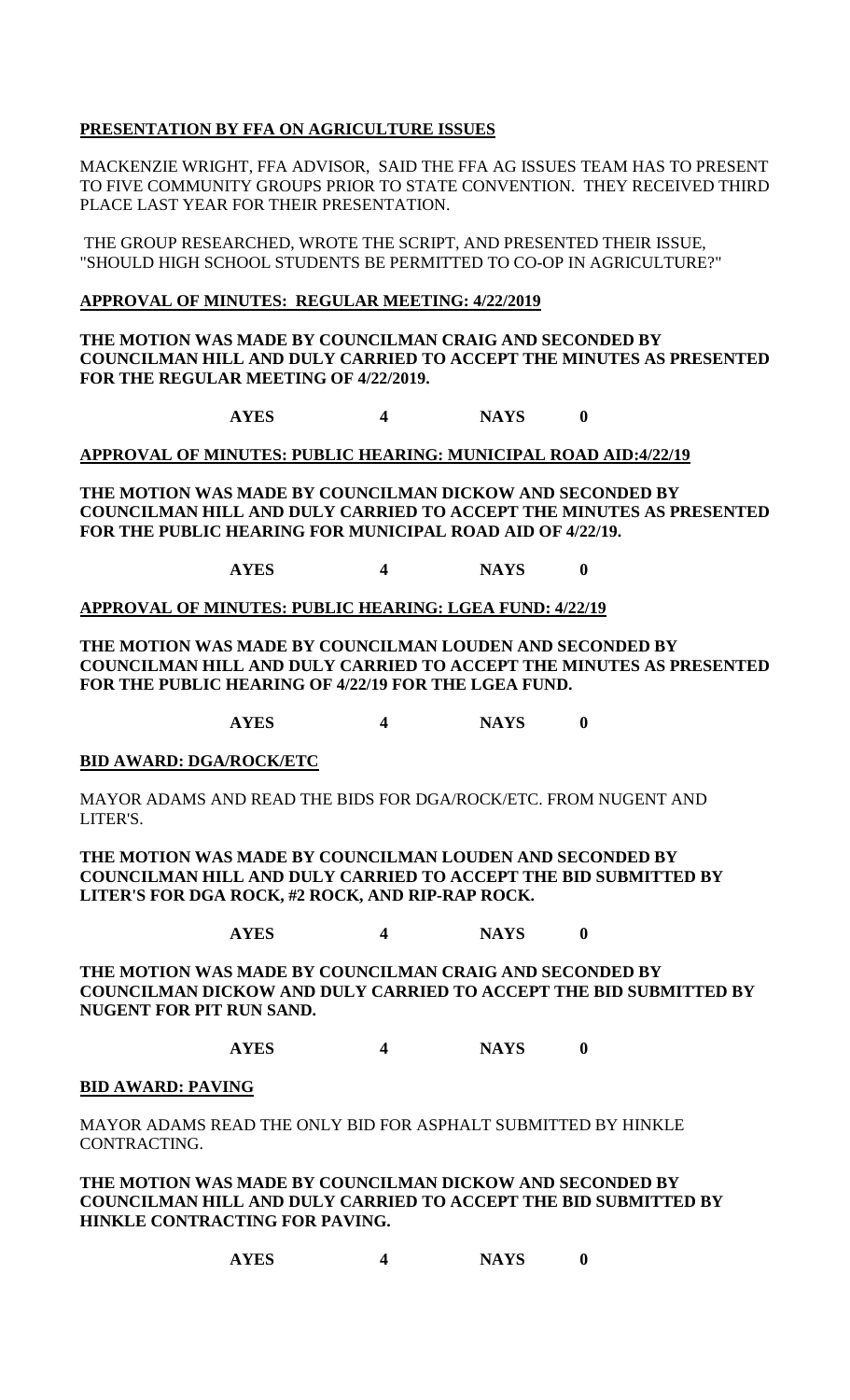## **PRESENTATION BY FFA ON AGRICULTURE ISSUES**

MACKENZIE WRIGHT, FFA ADVISOR, SAID THE FFA AG ISSUES TEAM HAS TO PRESENT TO FIVE COMMUNITY GROUPS PRIOR TO STATE CONVENTION. THEY RECEIVED THIRD PLACE LAST YEAR FOR THEIR PRESENTATION.

THE GROUP RESEARCHED, WROTE THE SCRIPT, AND PRESENTED THEIR ISSUE, "SHOULD HIGH SCHOOL STUDENTS BE PERMITTED TO CO-OP IN AGRICULTURE?"

### **APPROVAL OF MINUTES: REGULAR MEETING: 4/22/2019**

**THE MOTION WAS MADE BY COUNCILMAN CRAIG AND SECONDED BY COUNCILMAN HILL AND DULY CARRIED TO ACCEPT THE MINUTES AS PRESENTED FOR THE REGULAR MEETING OF 4/22/2019.**

**AYES 4 NAYS 0**

**APPROVAL OF MINUTES: PUBLIC HEARING: MUNICIPAL ROAD AID:4/22/19**

**THE MOTION WAS MADE BY COUNCILMAN DICKOW AND SECONDED BY COUNCILMAN HILL AND DULY CARRIED TO ACCEPT THE MINUTES AS PRESENTED FOR THE PUBLIC HEARING FOR MUNICIPAL ROAD AID OF 4/22/19.**

**AYES 4 NAYS 0**

**APPROVAL OF MINUTES: PUBLIC HEARING: LGEA FUND: 4/22/19**

**THE MOTION WAS MADE BY COUNCILMAN LOUDEN AND SECONDED BY COUNCILMAN HILL AND DULY CARRIED TO ACCEPT THE MINUTES AS PRESENTED FOR THE PUBLIC HEARING OF 4/22/19 FOR THE LGEA FUND.**

**AYES 4 NAYS 0**

### **BID AWARD: DGA/ROCK/ETC**

MAYOR ADAMS AND READ THE BIDS FOR DGA/ROCK/ETC. FROM NUGENT AND LITER'S.

**THE MOTION WAS MADE BY COUNCILMAN LOUDEN AND SECONDED BY COUNCILMAN HILL AND DULY CARRIED TO ACCEPT THE BID SUBMITTED BY LITER'S FOR DGA ROCK, #2 ROCK, AND RIP-RAP ROCK.**

**AYES 4 NAYS 0**

**THE MOTION WAS MADE BY COUNCILMAN CRAIG AND SECONDED BY COUNCILMAN DICKOW AND DULY CARRIED TO ACCEPT THE BID SUBMITTED BY NUGENT FOR PIT RUN SAND.**

**AYES 4 NAYS 0**

#### **BID AWARD: PAVING**

MAYOR ADAMS READ THE ONLY BID FOR ASPHALT SUBMITTED BY HINKLE CONTRACTING.

**THE MOTION WAS MADE BY COUNCILMAN DICKOW AND SECONDED BY COUNCILMAN HILL AND DULY CARRIED TO ACCEPT THE BID SUBMITTED BY HINKLE CONTRACTING FOR PAVING.**

**AYES 4 NAYS 0**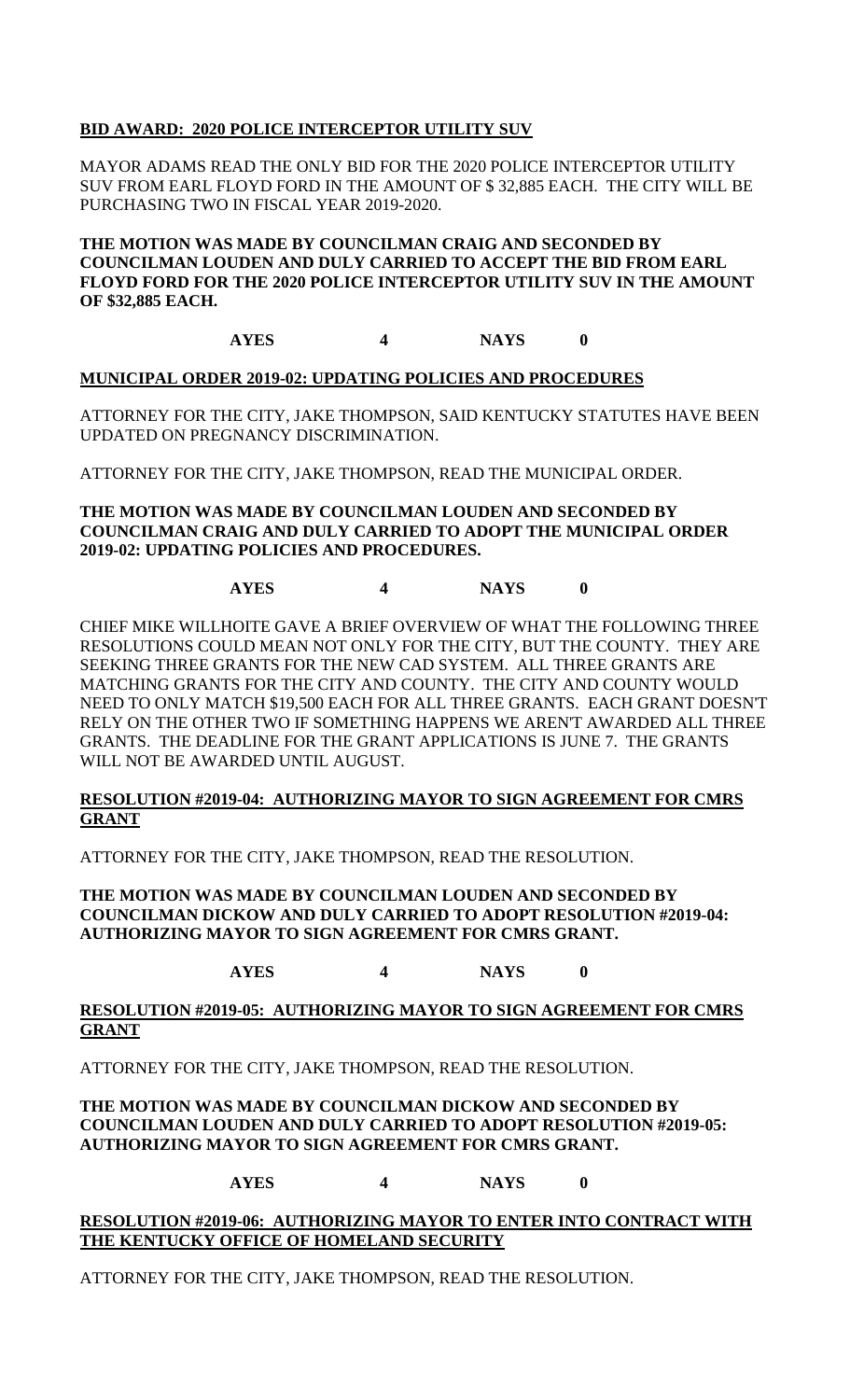## **BID AWARD: 2020 POLICE INTERCEPTOR UTILITY SUV**

MAYOR ADAMS READ THE ONLY BID FOR THE 2020 POLICE INTERCEPTOR UTILITY SUV FROM EARL FLOYD FORD IN THE AMOUNT OF \$ 32,885 EACH. THE CITY WILL BE PURCHASING TWO IN FISCAL YEAR 2019-2020.

### **THE MOTION WAS MADE BY COUNCILMAN CRAIG AND SECONDED BY COUNCILMAN LOUDEN AND DULY CARRIED TO ACCEPT THE BID FROM EARL FLOYD FORD FOR THE 2020 POLICE INTERCEPTOR UTILITY SUV IN THE AMOUNT OF \$32,885 EACH.**

## **AYES 4 NAYS 0**

### **MUNICIPAL ORDER 2019-02: UPDATING POLICIES AND PROCEDURES**

ATTORNEY FOR THE CITY, JAKE THOMPSON, SAID KENTUCKY STATUTES HAVE BEEN UPDATED ON PREGNANCY DISCRIMINATION.

ATTORNEY FOR THE CITY, JAKE THOMPSON, READ THE MUNICIPAL ORDER.

### **THE MOTION WAS MADE BY COUNCILMAN LOUDEN AND SECONDED BY COUNCILMAN CRAIG AND DULY CARRIED TO ADOPT THE MUNICIPAL ORDER 2019-02: UPDATING POLICIES AND PROCEDURES.**

# **AYES 4 NAYS 0**

CHIEF MIKE WILLHOITE GAVE A BRIEF OVERVIEW OF WHAT THE FOLLOWING THREE RESOLUTIONS COULD MEAN NOT ONLY FOR THE CITY, BUT THE COUNTY. THEY ARE SEEKING THREE GRANTS FOR THE NEW CAD SYSTEM. ALL THREE GRANTS ARE MATCHING GRANTS FOR THE CITY AND COUNTY. THE CITY AND COUNTY WOULD NEED TO ONLY MATCH \$19,500 EACH FOR ALL THREE GRANTS. EACH GRANT DOESN'T RELY ON THE OTHER TWO IF SOMETHING HAPPENS WE AREN'T AWARDED ALL THREE GRANTS. THE DEADLINE FOR THE GRANT APPLICATIONS IS JUNE 7. THE GRANTS WILL NOT BE AWARDED UNTIL AUGUST.

### **RESOLUTION #2019-04: AUTHORIZING MAYOR TO SIGN AGREEMENT FOR CMRS GRANT**

ATTORNEY FOR THE CITY, JAKE THOMPSON, READ THE RESOLUTION.

**THE MOTION WAS MADE BY COUNCILMAN LOUDEN AND SECONDED BY COUNCILMAN DICKOW AND DULY CARRIED TO ADOPT RESOLUTION #2019-04: AUTHORIZING MAYOR TO SIGN AGREEMENT FOR CMRS GRANT.**

## **AYES 4 NAYS 0**

### **RESOLUTION #2019-05: AUTHORIZING MAYOR TO SIGN AGREEMENT FOR CMRS GRANT**

ATTORNEY FOR THE CITY, JAKE THOMPSON, READ THE RESOLUTION.

### **THE MOTION WAS MADE BY COUNCILMAN DICKOW AND SECONDED BY COUNCILMAN LOUDEN AND DULY CARRIED TO ADOPT RESOLUTION #2019-05: AUTHORIZING MAYOR TO SIGN AGREEMENT FOR CMRS GRANT.**

## **AYES 4 NAYS 0**

#### **RESOLUTION #2019-06: AUTHORIZING MAYOR TO ENTER INTO CONTRACT WITH THE KENTUCKY OFFICE OF HOMELAND SECURITY**

ATTORNEY FOR THE CITY, JAKE THOMPSON, READ THE RESOLUTION.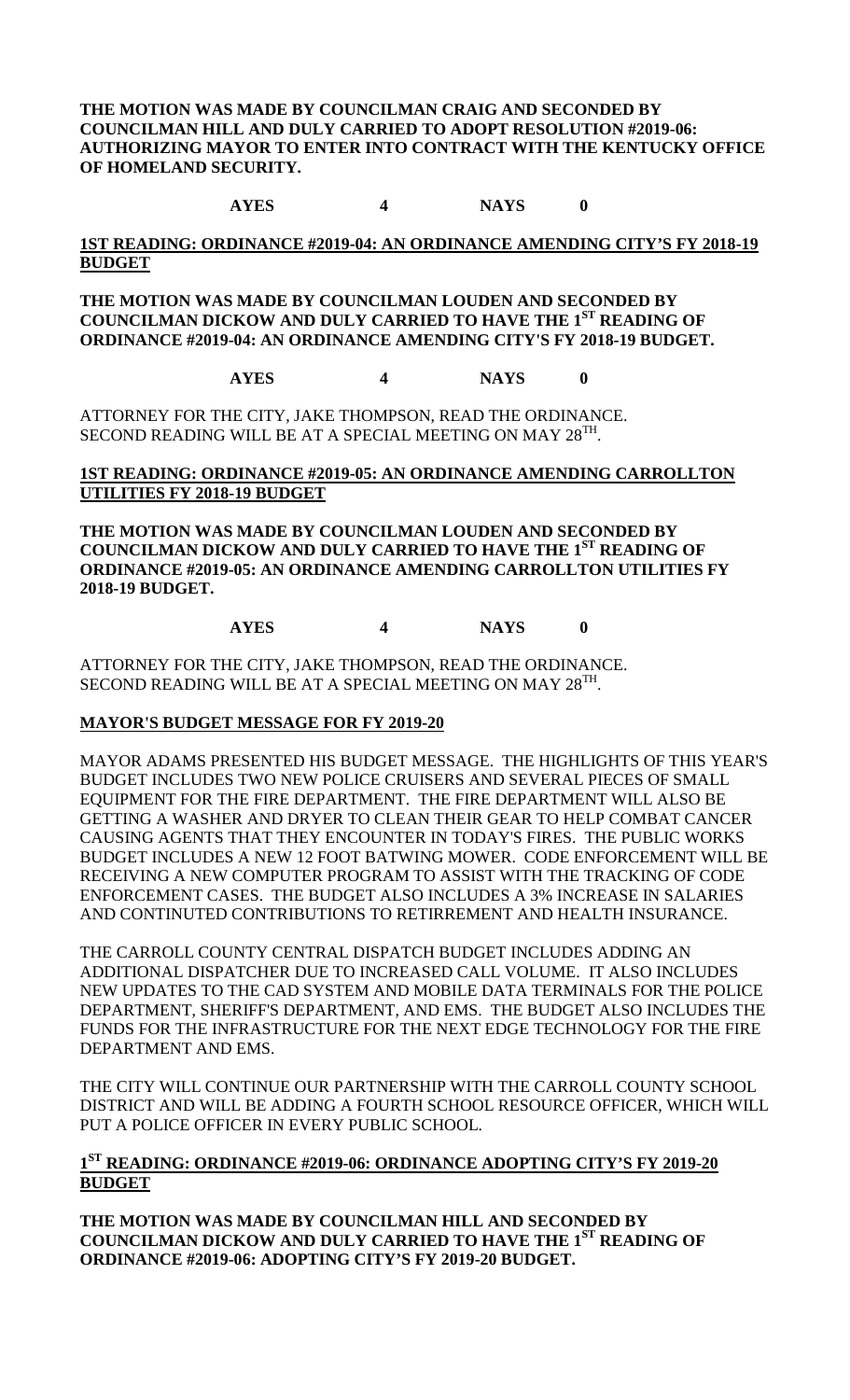**THE MOTION WAS MADE BY COUNCILMAN CRAIG AND SECONDED BY COUNCILMAN HILL AND DULY CARRIED TO ADOPT RESOLUTION #2019-06: AUTHORIZING MAYOR TO ENTER INTO CONTRACT WITH THE KENTUCKY OFFICE OF HOMELAND SECURITY.**

**AYES 4 NAYS 0**

### **1ST READING: ORDINANCE #2019-04: AN ORDINANCE AMENDING CITY'S FY 2018-19 BUDGET**

**THE MOTION WAS MADE BY COUNCILMAN LOUDEN AND SECONDED BY COUNCILMAN DICKOW AND DULY CARRIED TO HAVE THE 1ST READING OF ORDINANCE #2019-04: AN ORDINANCE AMENDING CITY'S FY 2018-19 BUDGET.**

**AYES 4 NAYS 0**

ATTORNEY FOR THE CITY, JAKE THOMPSON, READ THE ORDINANCE. SECOND READING WILL BE AT A SPECIAL MEETING ON MAY 28<sup>TH</sup>.

### **1ST READING: ORDINANCE #2019-05: AN ORDINANCE AMENDING CARROLLTON UTILITIES FY 2018-19 BUDGET**

**THE MOTION WAS MADE BY COUNCILMAN LOUDEN AND SECONDED BY COUNCILMAN DICKOW AND DULY CARRIED TO HAVE THE 1ST READING OF ORDINANCE #2019-05: AN ORDINANCE AMENDING CARROLLTON UTILITIES FY 2018-19 BUDGET.**

## **AYES 4 NAYS 0**

ATTORNEY FOR THE CITY, JAKE THOMPSON, READ THE ORDINANCE. SECOND READING WILL BE AT A SPECIAL MEETING ON MAY 28<sup>TH</sup>.

## **MAYOR'S BUDGET MESSAGE FOR FY 2019-20**

MAYOR ADAMS PRESENTED HIS BUDGET MESSAGE. THE HIGHLIGHTS OF THIS YEAR'S BUDGET INCLUDES TWO NEW POLICE CRUISERS AND SEVERAL PIECES OF SMALL EQUIPMENT FOR THE FIRE DEPARTMENT. THE FIRE DEPARTMENT WILL ALSO BE GETTING A WASHER AND DRYER TO CLEAN THEIR GEAR TO HELP COMBAT CANCER CAUSING AGENTS THAT THEY ENCOUNTER IN TODAY'S FIRES. THE PUBLIC WORKS BUDGET INCLUDES A NEW 12 FOOT BATWING MOWER. CODE ENFORCEMENT WILL BE RECEIVING A NEW COMPUTER PROGRAM TO ASSIST WITH THE TRACKING OF CODE ENFORCEMENT CASES. THE BUDGET ALSO INCLUDES A 3% INCREASE IN SALARIES AND CONTINUTED CONTRIBUTIONS TO RETIRREMENT AND HEALTH INSURANCE.

THE CARROLL COUNTY CENTRAL DISPATCH BUDGET INCLUDES ADDING AN ADDITIONAL DISPATCHER DUE TO INCREASED CALL VOLUME. IT ALSO INCLUDES NEW UPDATES TO THE CAD SYSTEM AND MOBILE DATA TERMINALS FOR THE POLICE DEPARTMENT, SHERIFF'S DEPARTMENT, AND EMS. THE BUDGET ALSO INCLUDES THE FUNDS FOR THE INFRASTRUCTURE FOR THE NEXT EDGE TECHNOLOGY FOR THE FIRE DEPARTMENT AND EMS.

THE CITY WILL CONTINUE OUR PARTNERSHIP WITH THE CARROLL COUNTY SCHOOL DISTRICT AND WILL BE ADDING A FOURTH SCHOOL RESOURCE OFFICER, WHICH WILL PUT A POLICE OFFICER IN EVERY PUBLIC SCHOOL.

## **1ST READING: ORDINANCE #2019-06: ORDINANCE ADOPTING CITY'S FY 2019-20 BUDGET**

**THE MOTION WAS MADE BY COUNCILMAN HILL AND SECONDED BY COUNCILMAN DICKOW AND DULY CARRIED TO HAVE THE 1ST READING OF ORDINANCE #2019-06: ADOPTING CITY'S FY 2019-20 BUDGET.**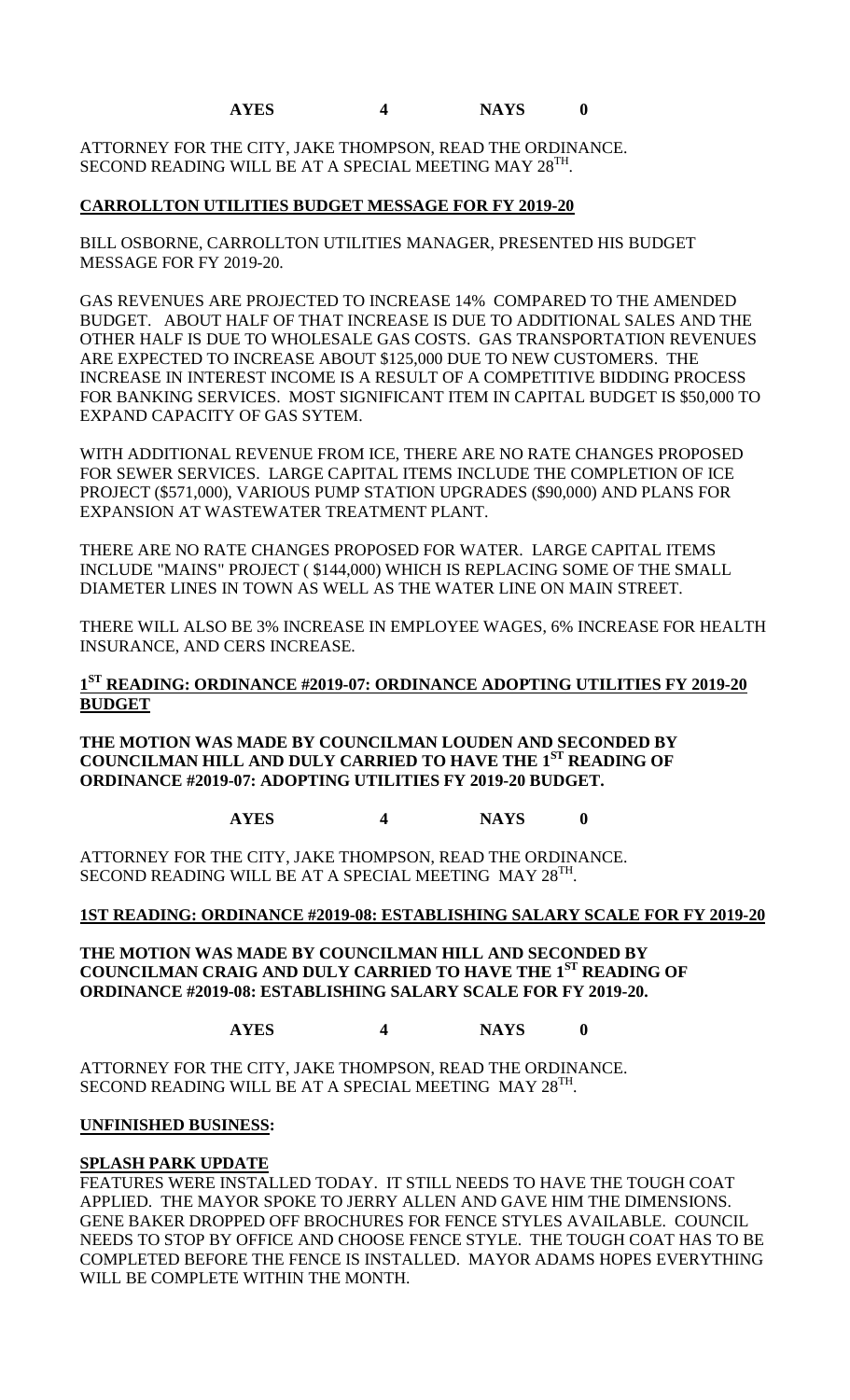## **AYES 4 NAYS 0**

ATTORNEY FOR THE CITY, JAKE THOMPSON, READ THE ORDINANCE. SECOND READING WILL BE AT A SPECIAL MEETING MAY 28<sup>TH</sup>.

### **CARROLLTON UTILITIES BUDGET MESSAGE FOR FY 2019-20**

BILL OSBORNE, CARROLLTON UTILITIES MANAGER, PRESENTED HIS BUDGET MESSAGE FOR FY 2019-20.

GAS REVENUES ARE PROJECTED TO INCREASE 14% COMPARED TO THE AMENDED BUDGET. ABOUT HALF OF THAT INCREASE IS DUE TO ADDITIONAL SALES AND THE OTHER HALF IS DUE TO WHOLESALE GAS COSTS. GAS TRANSPORTATION REVENUES ARE EXPECTED TO INCREASE ABOUT \$125,000 DUE TO NEW CUSTOMERS. THE INCREASE IN INTEREST INCOME IS A RESULT OF A COMPETITIVE BIDDING PROCESS FOR BANKING SERVICES. MOST SIGNIFICANT ITEM IN CAPITAL BUDGET IS \$50,000 TO EXPAND CAPACITY OF GAS SYTEM.

WITH ADDITIONAL REVENUE FROM ICE, THERE ARE NO RATE CHANGES PROPOSED FOR SEWER SERVICES. LARGE CAPITAL ITEMS INCLUDE THE COMPLETION OF ICE PROJECT (\$571,000), VARIOUS PUMP STATION UPGRADES (\$90,000) AND PLANS FOR EXPANSION AT WASTEWATER TREATMENT PLANT.

THERE ARE NO RATE CHANGES PROPOSED FOR WATER. LARGE CAPITAL ITEMS INCLUDE "MAINS" PROJECT ( \$144,000) WHICH IS REPLACING SOME OF THE SMALL DIAMETER LINES IN TOWN AS WELL AS THE WATER LINE ON MAIN STREET.

THERE WILL ALSO BE 3% INCREASE IN EMPLOYEE WAGES, 6% INCREASE FOR HEALTH INSURANCE, AND CERS INCREASE.

## **1ST READING: ORDINANCE #2019-07: ORDINANCE ADOPTING UTILITIES FY 2019-20 BUDGET**

**THE MOTION WAS MADE BY COUNCILMAN LOUDEN AND SECONDED BY COUNCILMAN HILL AND DULY CARRIED TO HAVE THE 1ST READING OF ORDINANCE #2019-07: ADOPTING UTILITIES FY 2019-20 BUDGET.**

## **AYES 4 NAYS 0**

ATTORNEY FOR THE CITY, JAKE THOMPSON, READ THE ORDINANCE. SECOND READING WILL BE AT A SPECIAL MEETING MAY 28<sup>TH</sup>.

### **1ST READING: ORDINANCE #2019-08: ESTABLISHING SALARY SCALE FOR FY 2019-20**

**THE MOTION WAS MADE BY COUNCILMAN HILL AND SECONDED BY COUNCILMAN CRAIG AND DULY CARRIED TO HAVE THE 1ST READING OF ORDINANCE #2019-08: ESTABLISHING SALARY SCALE FOR FY 2019-20.**

**AYES 4 NAYS 0**

ATTORNEY FOR THE CITY, JAKE THOMPSON, READ THE ORDINANCE. SECOND READING WILL BE AT A SPECIAL MEETING MAY 28<sup>TH</sup>.

### **UNFINISHED BUSINESS:**

### **SPLASH PARK UPDATE**

FEATURES WERE INSTALLED TODAY. IT STILL NEEDS TO HAVE THE TOUGH COAT APPLIED. THE MAYOR SPOKE TO JERRY ALLEN AND GAVE HIM THE DIMENSIONS. GENE BAKER DROPPED OFF BROCHURES FOR FENCE STYLES AVAILABLE. COUNCIL NEEDS TO STOP BY OFFICE AND CHOOSE FENCE STYLE. THE TOUGH COAT HAS TO BE COMPLETED BEFORE THE FENCE IS INSTALLED. MAYOR ADAMS HOPES EVERYTHING WILL BE COMPLETE WITHIN THE MONTH.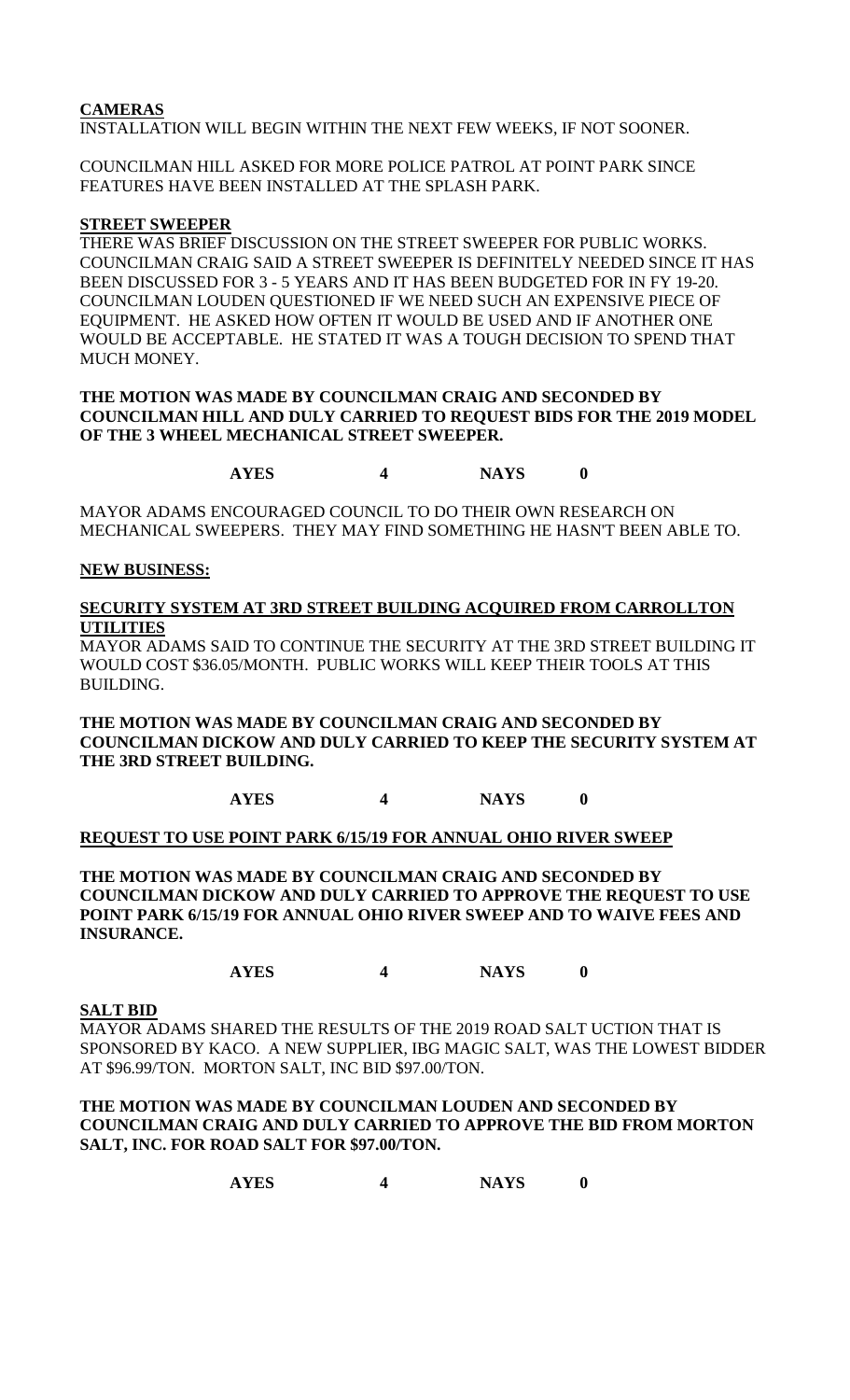## **CAMERAS**

INSTALLATION WILL BEGIN WITHIN THE NEXT FEW WEEKS, IF NOT SOONER.

COUNCILMAN HILL ASKED FOR MORE POLICE PATROL AT POINT PARK SINCE FEATURES HAVE BEEN INSTALLED AT THE SPLASH PARK.

### **STREET SWEEPER**

THERE WAS BRIEF DISCUSSION ON THE STREET SWEEPER FOR PUBLIC WORKS. COUNCILMAN CRAIG SAID A STREET SWEEPER IS DEFINITELY NEEDED SINCE IT HAS BEEN DISCUSSED FOR 3 - 5 YEARS AND IT HAS BEEN BUDGETED FOR IN FY 19-20. COUNCILMAN LOUDEN QUESTIONED IF WE NEED SUCH AN EXPENSIVE PIECE OF EQUIPMENT. HE ASKED HOW OFTEN IT WOULD BE USED AND IF ANOTHER ONE WOULD BE ACCEPTABLE. HE STATED IT WAS A TOUGH DECISION TO SPEND THAT MUCH MONEY.

### **THE MOTION WAS MADE BY COUNCILMAN CRAIG AND SECONDED BY COUNCILMAN HILL AND DULY CARRIED TO REQUEST BIDS FOR THE 2019 MODEL OF THE 3 WHEEL MECHANICAL STREET SWEEPER.**

**AYES 4 NAYS 0**

MAYOR ADAMS ENCOURAGED COUNCIL TO DO THEIR OWN RESEARCH ON MECHANICAL SWEEPERS. THEY MAY FIND SOMETHING HE HASN'T BEEN ABLE TO.

### **NEW BUSINESS:**

### **SECURITY SYSTEM AT 3RD STREET BUILDING ACQUIRED FROM CARROLLTON UTILITIES**

MAYOR ADAMS SAID TO CONTINUE THE SECURITY AT THE 3RD STREET BUILDING IT WOULD COST \$36.05/MONTH. PUBLIC WORKS WILL KEEP THEIR TOOLS AT THIS BUILDING.

**THE MOTION WAS MADE BY COUNCILMAN CRAIG AND SECONDED BY COUNCILMAN DICKOW AND DULY CARRIED TO KEEP THE SECURITY SYSTEM AT THE 3RD STREET BUILDING.** 

**AYES 4 NAYS 0**

### **REQUEST TO USE POINT PARK 6/15/19 FOR ANNUAL OHIO RIVER SWEEP**

**THE MOTION WAS MADE BY COUNCILMAN CRAIG AND SECONDED BY COUNCILMAN DICKOW AND DULY CARRIED TO APPROVE THE REQUEST TO USE POINT PARK 6/15/19 FOR ANNUAL OHIO RIVER SWEEP AND TO WAIVE FEES AND INSURANCE.**

**AYES 4 NAYS 0**

### **SALT BID**

MAYOR ADAMS SHARED THE RESULTS OF THE 2019 ROAD SALT UCTION THAT IS SPONSORED BY KACO. A NEW SUPPLIER, IBG MAGIC SALT, WAS THE LOWEST BIDDER AT \$96.99/TON. MORTON SALT, INC BID \$97.00/TON.

### **THE MOTION WAS MADE BY COUNCILMAN LOUDEN AND SECONDED BY COUNCILMAN CRAIG AND DULY CARRIED TO APPROVE THE BID FROM MORTON SALT, INC. FOR ROAD SALT FOR \$97.00/TON.**

**AYES 4 NAYS 0**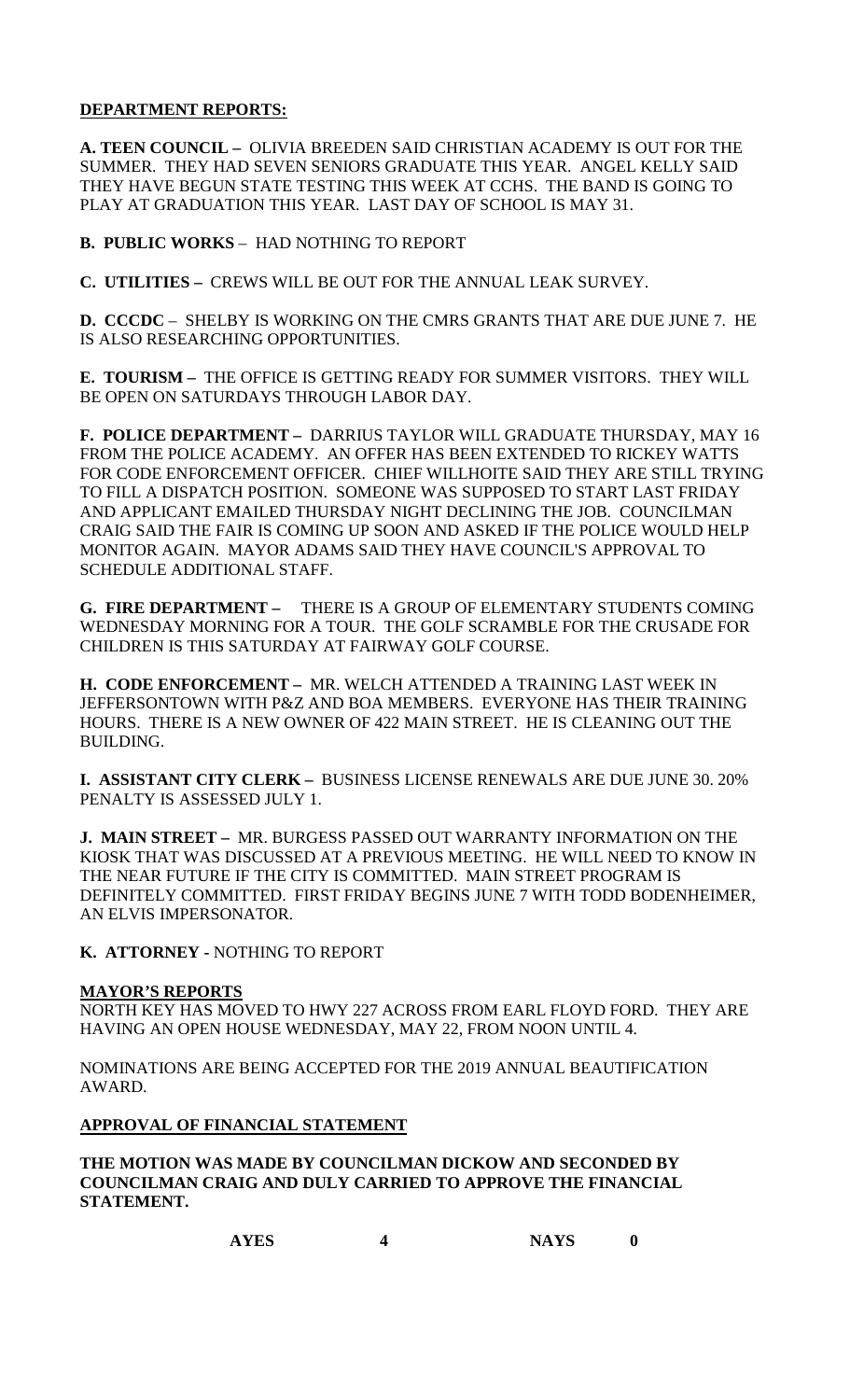### **DEPARTMENT REPORTS:**

**A. TEEN COUNCIL –** OLIVIA BREEDEN SAID CHRISTIAN ACADEMY IS OUT FOR THE SUMMER. THEY HAD SEVEN SENIORS GRADUATE THIS YEAR. ANGEL KELLY SAID THEY HAVE BEGUN STATE TESTING THIS WEEK AT CCHS. THE BAND IS GOING TO PLAY AT GRADUATION THIS YEAR. LAST DAY OF SCHOOL IS MAY 31.

**B. PUBLIC WORKS** – HAD NOTHING TO REPORT

**C. UTILITIES –** CREWS WILL BE OUT FOR THE ANNUAL LEAK SURVEY.

**D. CCCDC** – SHELBY IS WORKING ON THE CMRS GRANTS THAT ARE DUE JUNE 7. HE IS ALSO RESEARCHING OPPORTUNITIES.

**E. TOURISM –** THE OFFICE IS GETTING READY FOR SUMMER VISITORS. THEY WILL BE OPEN ON SATURDAYS THROUGH LABOR DAY.

**F. POLICE DEPARTMENT –** DARRIUS TAYLOR WILL GRADUATE THURSDAY, MAY 16 FROM THE POLICE ACADEMY. AN OFFER HAS BEEN EXTENDED TO RICKEY WATTS FOR CODE ENFORCEMENT OFFICER. CHIEF WILLHOITE SAID THEY ARE STILL TRYING TO FILL A DISPATCH POSITION. SOMEONE WAS SUPPOSED TO START LAST FRIDAY AND APPLICANT EMAILED THURSDAY NIGHT DECLINING THE JOB. COUNCILMAN CRAIG SAID THE FAIR IS COMING UP SOON AND ASKED IF THE POLICE WOULD HELP MONITOR AGAIN. MAYOR ADAMS SAID THEY HAVE COUNCIL'S APPROVAL TO SCHEDULE ADDITIONAL STAFF.

**G. FIRE DEPARTMENT –** THERE IS A GROUP OF ELEMENTARY STUDENTS COMING WEDNESDAY MORNING FOR A TOUR. THE GOLF SCRAMBLE FOR THE CRUSADE FOR CHILDREN IS THIS SATURDAY AT FAIRWAY GOLF COURSE.

**H. CODE ENFORCEMENT –** MR. WELCH ATTENDED A TRAINING LAST WEEK IN JEFFERSONTOWN WITH P&Z AND BOA MEMBERS. EVERYONE HAS THEIR TRAINING HOURS. THERE IS A NEW OWNER OF 422 MAIN STREET. HE IS CLEANING OUT THE BUILDING.

**I. ASSISTANT CITY CLERK –** BUSINESS LICENSE RENEWALS ARE DUE JUNE 30. 20% PENALTY IS ASSESSED JULY 1.

**J. MAIN STREET –** MR. BURGESS PASSED OUT WARRANTY INFORMATION ON THE KIOSK THAT WAS DISCUSSED AT A PREVIOUS MEETING. HE WILL NEED TO KNOW IN THE NEAR FUTURE IF THE CITY IS COMMITTED. MAIN STREET PROGRAM IS DEFINITELY COMMITTED. FIRST FRIDAY BEGINS JUNE 7 WITH TODD BODENHEIMER, AN ELVIS IMPERSONATOR.

**K. ATTORNEY -** NOTHING TO REPORT

### **MAYOR'S REPORTS**

NORTH KEY HAS MOVED TO HWY 227 ACROSS FROM EARL FLOYD FORD. THEY ARE HAVING AN OPEN HOUSE WEDNESDAY, MAY 22, FROM NOON UNTIL 4.

NOMINATIONS ARE BEING ACCEPTED FOR THE 2019 ANNUAL BEAUTIFICATION AWARD.

### **APPROVAL OF FINANCIAL STATEMENT**

**THE MOTION WAS MADE BY COUNCILMAN DICKOW AND SECONDED BY COUNCILMAN CRAIG AND DULY CARRIED TO APPROVE THE FINANCIAL STATEMENT.**

| <b>AYES</b> | <b>NAYS</b> |  |
|-------------|-------------|--|
|             |             |  |